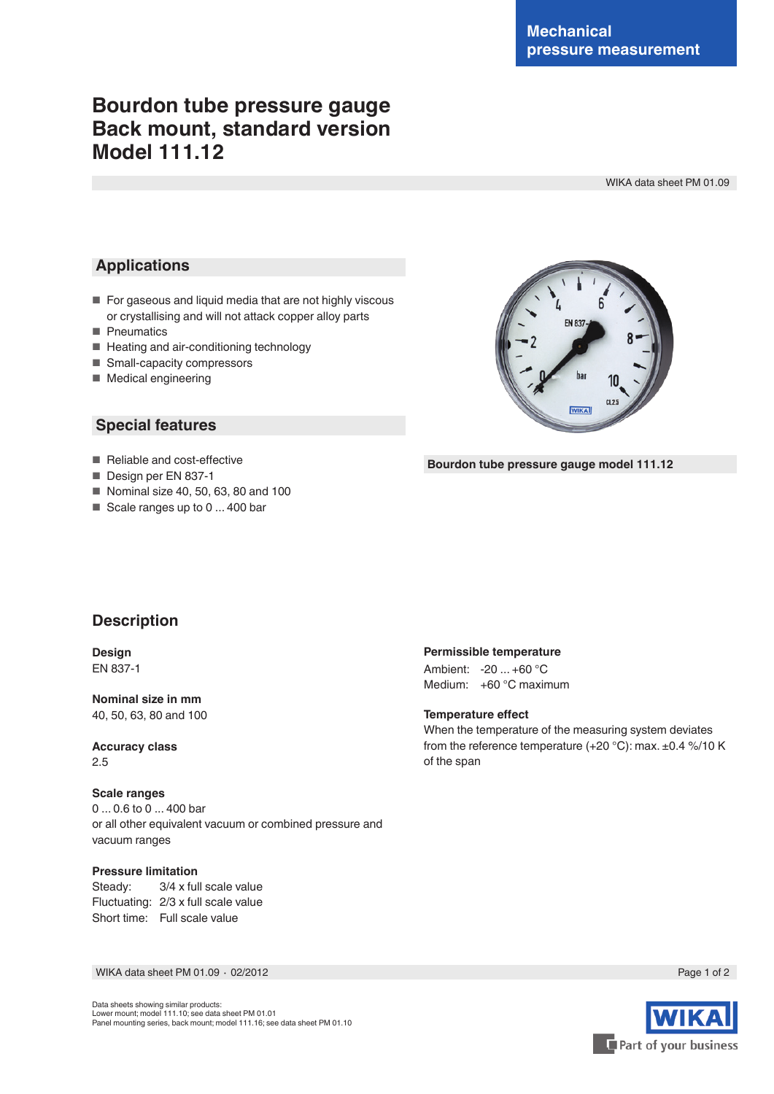# **Bourdon tube pressure gauge Back mount, standard version Model 111.12**

WIKA data sheet PM 01.09

### **Applications**

- For gaseous and liquid media that are not highly viscous or crystallising and will not attack copper alloy parts
- Pneumatics
- Heating and air-conditioning technology
- Small-capacity compressors
- Medical engineering

### **Special features**



#### **Bourdon tube pressure gauge model 111.12**

- Reliable and cost-effective
- Design per EN 837-1
- Nominal size 40, 50, 63, 80 and 100
- Scale ranges up to 0 ... 400 bar

### **Description**

**Design** EN 837-1

**Nominal size in mm** 40, 50, 63, 80 and 100

**Accuracy class** 2.5

#### **Scale ranges**

0 ... 0.6 to 0 ... 400 bar or all other equivalent vacuum or combined pressure and vacuum ranges

#### **Pressure limitation**

Steady: 3/4 x full scale value Fluctuating: 2/3 x full scale value Short time: Full scale value

#### WIKA data sheet PM 01.09 ⋅ 02/2012 Page 1 of 2



#### **Permissible temperature**

Ambient: -20 ... +60 °C Medium: +60 °C maximum

**Temperature effect**

When the temperature of the measuring system deviates from the reference temperature (+20 °C): max. ±0.4 %/10 K of the span